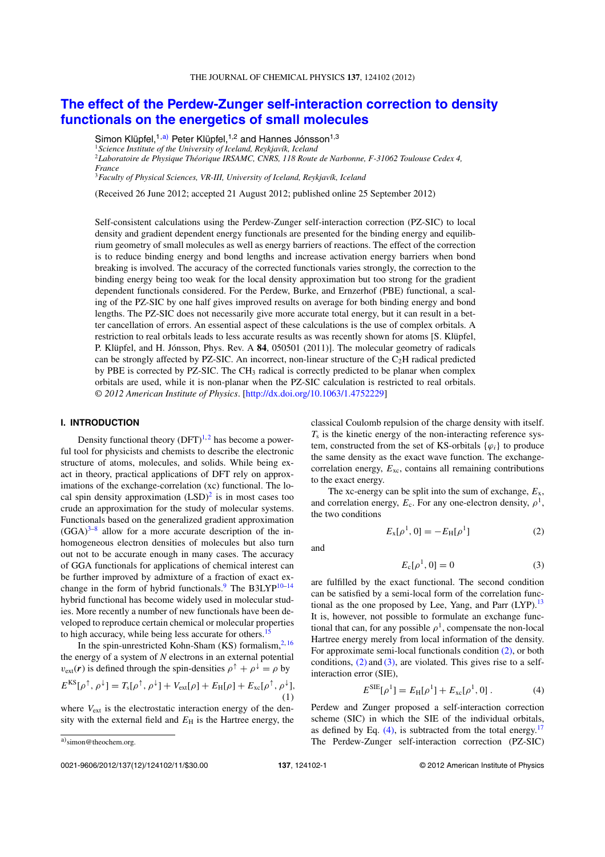# **The effect of the Perdew-Zunger self-interaction correction to density functionals on the energetics of small molecules**

Simon Klüpfel,<sup>1,a)</sup> Peter Klüpfel,<sup>1,2</sup> and Hannes Jónsson<sup>1,3</sup>

<sup>1</sup>*Science Institute of the University of Iceland, Reykjavík, Iceland*

<sup>2</sup>*Laboratoire de Physique Théorique IRSAMC, CNRS, 118 Route de Narbonne, F-31062 Toulouse Cedex 4, France*

<sup>3</sup>*Faculty of Physical Sciences, VR-III, University of Iceland, Reykjavík, Iceland*

(Received 26 June 2012; accepted 21 August 2012; published online 25 September 2012)

Self-consistent calculations using the Perdew-Zunger self-interaction correction (PZ-SIC) to local density and gradient dependent energy functionals are presented for the binding energy and equilibrium geometry of small molecules as well as energy barriers of reactions. The effect of the correction is to reduce binding energy and bond lengths and increase activation energy barriers when bond breaking is involved. The accuracy of the corrected functionals varies strongly, the correction to the binding energy being too weak for the local density approximation but too strong for the gradient dependent functionals considered. For the Perdew, Burke, and Ernzerhof (PBE) functional, a scaling of the PZ-SIC by one half gives improved results on average for both binding energy and bond lengths. The PZ-SIC does not necessarily give more accurate total energy, but it can result in a better cancellation of errors. An essential aspect of these calculations is the use of complex orbitals. A restriction to real orbitals leads to less accurate results as was recently shown for atoms [S. Klüpfel, P. Klüpfel, and H. Jónsson, Phys. Rev. A **84**, 050501 (2011)]. The molecular geometry of radicals can be strongly affected by PZ-SIC. An incorrect, non-linear structure of the  $C_2H$  radical predicted by PBE is corrected by PZ-SIC. The CH<sub>3</sub> radical is correctly predicted to be planar when complex orbitals are used, while it is non-planar when the PZ-SIC calculation is restricted to real orbitals. *© 2012 American Institute of Physics*. [http://dx.doi.org/10.1063/1.4752229]

# **I. INTRODUCTION**

Density functional theory  $(DFT)^{1,2}$  has become a powerful tool for physicists and chemists to describe the electronic structure of atoms, molecules, and solids. While being exact in theory, practical applications of DFT rely on approximations of the exchange-correlation (xc) functional. The local spin density approximation  $(LSD)^2$  is in most cases too crude an approximation for the study of molecular systems. Functionals based on the generalized gradient approximation  $(GGA)^{3-8}$  allow for a more accurate description of the inhomogeneous electron densities of molecules but also turn out not to be accurate enough in many cases. The accuracy of GGA functionals for applications of chemical interest can be further improved by admixture of a fraction of exact exchange in the form of hybrid functionals. $9$  The B3LYP<sup>10–14</sup> hybrid functional has become widely used in molecular studies. More recently a number of new functionals have been developed to reproduce certain chemical or molecular properties to high accuracy, while being less accurate for others.15

In the spin-unrestricted Kohn-Sham (KS) formalism, $2,16$ the energy of a system of *N* electrons in an external potential  $v_{ext}(\mathbf{r})$  is defined through the spin-densities  $\rho^{\uparrow} + \rho^{\downarrow} = \rho$  by  $E<sup>KS</sup>[ \rho^{\uparrow}, \rho^{\downarrow} ] = T_{s}[\rho^{\uparrow}, \rho^{\downarrow} ] + V_{ext}[\rho] + E_{H}[\rho] + E_{xc}[\rho^{\uparrow}, \rho^{\downarrow}],$ (1)

where  $V_{ext}$  is the electrostatic interaction energy of the density with the external field and  $E_H$  is the Hartree energy, the classical Coulomb repulsion of the charge density with itself.  $T<sub>s</sub>$  is the kinetic energy of the non-interacting reference system, constructed from the set of KS-orbitals  $\{\varphi_i\}$  to produce the same density as the exact wave function. The exchangecorrelation energy,  $E_{\text{xc}}$ , contains all remaining contributions to the exact energy.

The xc-energy can be split into the sum of exchange,  $E_x$ , and correlation energy,  $E_c$ . For any one-electron density,  $\rho^1$ , the two conditions

 $E_{\rm x}[\rho^1, 0] = -E_{\rm H}[\rho^1]$ 

and

$$
E_{\rm c}[\rho^1, 0] = 0 \tag{3}
$$

 $(2)$ 

are fulfilled by the exact functional. The second condition can be satisfied by a semi-local form of the correlation functional as the one proposed by Lee, Yang, and Parr (LYP).<sup>13</sup> It is, however, not possible to formulate an exchange functional that can, for any possible  $\rho^1$ , compensate the non-local Hartree energy merely from local information of the density. For approximate semi-local functionals condition (2), or both conditions,  $(2)$  and  $(3)$ , are violated. This gives rise to a selfinteraction error (SIE),

$$
E^{\text{SIE}}[\rho^1] = E_{\text{H}}[\rho^1] + E_{\text{xc}}[\rho^1, 0] \,. \tag{4}
$$

Perdew and Zunger proposed a self-interaction correction scheme (SIC) in which the SIE of the individual orbitals, as defined by Eq.  $(4)$ , is subtracted from the total energy.<sup>17</sup> The Perdew-Zunger self-interaction correction (PZ-SIC)

a)simon@theochem.org.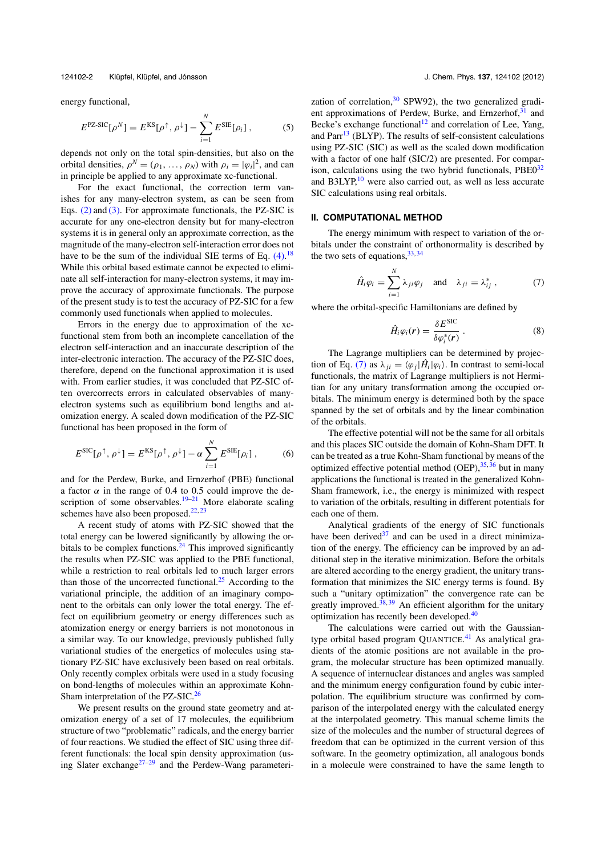## 124102-2 Klüpfel, Klüpfel, and Jónsson J. Chem. Phys. **137**, 124102 (2012)

energy functional,

$$
EPZ-SIC[\rhoN] = EKS[\rho†, \rho↓] - \sum_{i=1}^{N} ESIE[\rhoi],
$$
 (5)

depends not only on the total spin-densities, but also on the orbital densities,  $\rho^N = (\rho_1, ..., \rho_N)$  with  $\rho_i = |\varphi_i|^2$ , and can in principle be applied to any approximate xc-functional.

For the exact functional, the correction term vanishes for any many-electron system, as can be seen from Eqs. (2) and (3). For approximate functionals, the PZ-SIC is accurate for any one-electron density but for many-electron systems it is in general only an approximate correction, as the magnitude of the many-electron self-interaction error does not have to be the sum of the individual SIE terms of Eq.  $(4)$ .<sup>18</sup> While this orbital based estimate cannot be expected to eliminate all self-interaction for many-electron systems, it may improve the accuracy of approximate functionals. The purpose of the present study is to test the accuracy of PZ-SIC for a few commonly used functionals when applied to molecules.

Errors in the energy due to approximation of the xcfunctional stem from both an incomplete cancellation of the electron self-interaction and an inaccurate description of the inter-electronic interaction. The accuracy of the PZ-SIC does, therefore, depend on the functional approximation it is used with. From earlier studies, it was concluded that PZ-SIC often overcorrects errors in calculated observables of manyelectron systems such as equilibrium bond lengths and atomization energy. A scaled down modification of the PZ-SIC functional has been proposed in the form of

$$
E^{\text{SIC}}[\rho^{\uparrow}, \rho^{\downarrow}] = E^{\text{KS}}[\rho^{\uparrow}, \rho^{\downarrow}] - \alpha \sum_{i=1}^{N} E^{\text{SIE}}[\rho_i], \quad (6)
$$

and for the Perdew, Burke, and Ernzerhof (PBE) functional a factor  $\alpha$  in the range of 0.4 to 0.5 could improve the description of some observables.<sup>19–21</sup> More elaborate scaling schemes have also been proposed.<sup>22, 23</sup>

A recent study of atoms with PZ-SIC showed that the total energy can be lowered significantly by allowing the orbitals to be complex functions. $^{24}$  This improved significantly the results when PZ-SIC was applied to the PBE functional, while a restriction to real orbitals led to much larger errors than those of the uncorrected functional. $25$  According to the variational principle, the addition of an imaginary component to the orbitals can only lower the total energy. The effect on equilibrium geometry or energy differences such as atomization energy or energy barriers is not monotonous in a similar way. To our knowledge, previously published fully variational studies of the energetics of molecules using stationary PZ-SIC have exclusively been based on real orbitals. Only recently complex orbitals were used in a study focusing on bond-lengths of molecules within an approximate Kohn-Sham interpretation of the PZ-SIC.<sup>26</sup>

We present results on the ground state geometry and atomization energy of a set of 17 molecules, the equilibrium structure of two "problematic" radicals, and the energy barrier of four reactions. We studied the effect of SIC using three different functionals: the local spin density approximation (using Slater exchange<sup>27–29</sup> and the Perdew-Wang parameterization of correlation,  $30$  SPW92), the two generalized gradient approximations of Perdew, Burke, and Ernzerhof, $31$  and Becke's exchange functional<sup>12</sup> and correlation of Lee, Yang, and Parr $^{13}$  (BLYP). The results of self-consistent calculations using PZ-SIC (SIC) as well as the scaled down modification with a factor of one half (SIC/2) are presented. For comparison, calculations using the two hybrid functionals,  $PBE0<sup>32</sup>$ and B3LYP,<sup>10</sup> were also carried out, as well as less accurate SIC calculations using real orbitals.

# **II. COMPUTATIONAL METHOD**

The energy minimum with respect to variation of the orbitals under the constraint of orthonormality is described by the two sets of equations,  $33,34$ 

$$
\hat{H}_i \varphi_i = \sum_{i=1}^N \lambda_{ji} \varphi_j \quad \text{and} \quad \lambda_{ji} = \lambda_{ij}^* \,, \tag{7}
$$

where the orbital-specific Hamiltonians are defined by

$$
\hat{H}_i \varphi_i(\mathbf{r}) = \frac{\delta E^{\text{SIC}}}{\delta \varphi_i^*(\mathbf{r})} \,. \tag{8}
$$

The Lagrange multipliers can be determined by projection of Eq. (7) as  $\lambda_{ii} = \langle \varphi_i | \hat{H}_i | \varphi_i \rangle$ . In contrast to semi-local functionals, the matrix of Lagrange multipliers is not Hermitian for any unitary transformation among the occupied orbitals. The minimum energy is determined both by the space spanned by the set of orbitals and by the linear combination of the orbitals.

The effective potential will not be the same for all orbitals and this places SIC outside the domain of Kohn-Sham DFT. It can be treated as a true Kohn-Sham functional by means of the optimized effective potential method  $(OEP)$ ,  $35,36$  but in many applications the functional is treated in the generalized Kohn-Sham framework, i.e., the energy is minimized with respect to variation of the orbitals, resulting in different potentials for each one of them.

Analytical gradients of the energy of SIC functionals have been derived $37$  and can be used in a direct minimization of the energy. The efficiency can be improved by an additional step in the iterative minimization. Before the orbitals are altered according to the energy gradient, the unitary transformation that minimizes the SIC energy terms is found. By such a "unitary optimization" the convergence rate can be greatly improved.<sup>38, 39</sup> An efficient algorithm for the unitary optimization has recently been developed.<sup>40</sup>

The calculations were carried out with the Gaussiantype orbital based program QUANTICE.<sup>41</sup> As analytical gradients of the atomic positions are not available in the program, the molecular structure has been optimized manually. A sequence of internuclear distances and angles was sampled and the minimum energy configuration found by cubic interpolation. The equilibrium structure was confirmed by comparison of the interpolated energy with the calculated energy at the interpolated geometry. This manual scheme limits the size of the molecules and the number of structural degrees of freedom that can be optimized in the current version of this software. In the geometry optimization, all analogous bonds in a molecule were constrained to have the same length to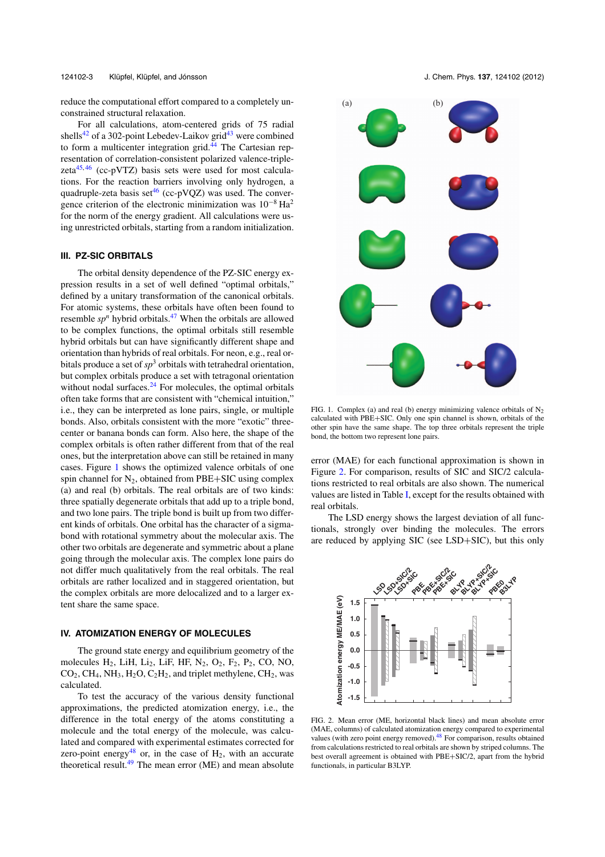## 124102-3 Klüpfel, Klüpfel, and Jónsson J. Chem. Phys. **137**, 124102 (2012)

reduce the computational effort compared to a completely unconstrained structural relaxation.

For all calculations, atom-centered grids of 75 radial shells<sup>42</sup> of a 302-point Lebedev-Laikov grid<sup>43</sup> were combined to form a multicenter integration grid. $44$  The Cartesian representation of correlation-consistent polarized valence-triplezeta45, <sup>46</sup> (cc-pVTZ) basis sets were used for most calculations. For the reaction barriers involving only hydrogen, a quadruple-zeta basis set $^{46}$  (cc-pVQZ) was used. The convergence criterion of the electronic minimization was 10−<sup>8</sup> Ha<sup>2</sup> for the norm of the energy gradient. All calculations were using unrestricted orbitals, starting from a random initialization.

# **III. PZ-SIC ORBITALS**

The orbital density dependence of the PZ-SIC energy expression results in a set of well defined "optimal orbitals," defined by a unitary transformation of the canonical orbitals. For atomic systems, these orbitals have often been found to resemble  $sp<sup>n</sup>$  hybrid orbitals.<sup>47</sup> When the orbitals are allowed to be complex functions, the optimal orbitals still resemble hybrid orbitals but can have significantly different shape and orientation than hybrids of real orbitals. For neon, e.g., real orbitals produce a set of  $sp<sup>3</sup>$  orbitals with tetrahedral orientation, but complex orbitals produce a set with tetragonal orientation without nodal surfaces. $24$  For molecules, the optimal orbitals often take forms that are consistent with "chemical intuition," i.e., they can be interpreted as lone pairs, single, or multiple bonds. Also, orbitals consistent with the more "exotic" threecenter or banana bonds can form. Also here, the shape of the complex orbitals is often rather different from that of the real ones, but the interpretation above can still be retained in many cases. Figure 1 shows the optimized valence orbitals of one spin channel for  $N_2$ , obtained from PBE+SIC using complex (a) and real (b) orbitals. The real orbitals are of two kinds: three spatially degenerate orbitals that add up to a triple bond, and two lone pairs. The triple bond is built up from two different kinds of orbitals. One orbital has the character of a sigmabond with rotational symmetry about the molecular axis. The other two orbitals are degenerate and symmetric about a plane going through the molecular axis. The complex lone pairs do not differ much qualitatively from the real orbitals. The real orbitals are rather localized and in staggered orientation, but the complex orbitals are more delocalized and to a larger extent share the same space.

## **IV. ATOMIZATION ENERGY OF MOLECULES**

The ground state energy and equilibrium geometry of the molecules  $H_2$ , LiH, Li<sub>2</sub>, LiF, HF, N<sub>2</sub>, O<sub>2</sub>, F<sub>2</sub>, P<sub>2</sub>, CO, NO,  $CO<sub>2</sub>, CH<sub>4</sub>, NH<sub>3</sub>, H<sub>2</sub>O, C<sub>2</sub>H<sub>2</sub>, and triplet methylene, CH<sub>2</sub>, was$ calculated.

To test the accuracy of the various density functional approximations, the predicted atomization energy, i.e., the difference in the total energy of the atoms constituting a molecule and the total energy of the molecule, was calculated and compared with experimental estimates corrected for zero-point energy<sup>48</sup> or, in the case of  $H_2$ , with an accurate theoretical result.<sup>49</sup> The mean error (ME) and mean absolute



FIG. 1. Complex (a) and real (b) energy minimizing valence orbitals of  $N_2$ calculated with PBE+SIC. Only one spin channel is shown, orbitals of the other spin have the same shape. The top three orbitals represent the triple bond, the bottom two represent lone pairs.

error (MAE) for each functional approximation is shown in Figure 2. For comparison, results of SIC and SIC/2 calculations restricted to real orbitals are also shown. The numerical values are listed in Table I, except for the results obtained with real orbitals.

The LSD energy shows the largest deviation of all functionals, strongly over binding the molecules. The errors are reduced by applying SIC (see LSD+SIC), but this only



FIG. 2. Mean error (ME, horizontal black lines) and mean absolute error (MAE, columns) of calculated atomization energy compared to experimental values (with zero point energy removed).<sup>48</sup> For comparison, results obtained from calculations restricted to real orbitals are shown by striped columns. The best overall agreement is obtained with PBE+SIC/2, apart from the hybrid functionals, in particular B3LYP.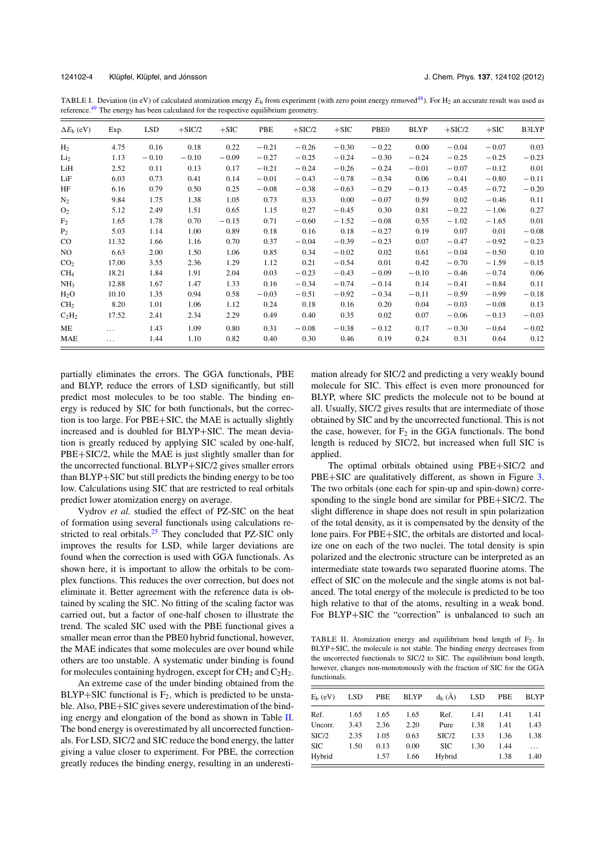TABLE I. Deviation (in eV) of calculated atomization energy  $E<sub>b</sub>$  from experiment (with zero point energy removed<sup>48</sup>). For H<sub>2</sub> an accurate result was used as reference.<sup>49</sup> The energy has been calculated for the respective equilibrium geometry.

| $\Delta E_{\rm b}$ (eV) | Exp.     | <b>LSD</b> | $+SIC/2$ | $+SIC$  | PBE     | $+SIC/2$ | $+SIC$   | PBE <sub>0</sub> | <b>BLYP</b> | $+SIC/2$ | $+SIC$  | B3LYP   |
|-------------------------|----------|------------|----------|---------|---------|----------|----------|------------------|-------------|----------|---------|---------|
| H <sub>2</sub>          | 4.75     | 0.16       | 0.18     | 0.22    | $-0.21$ | $-0.26$  | $-0.30$  | $-0.22$          | 0.00        | $-0.04$  | $-0.07$ | 0.03    |
| Li <sub>2</sub>         | 1.13     | $-0.10$    | $-0.10$  | $-0.09$ | $-0.27$ | $-0.25$  | $-0.24$  | $-0.30$          | $-0.24$     | $-0.25$  | $-0.25$ | $-0.23$ |
| LiH                     | 2.52     | 0.11       | 0.13     | 0.17    | $-0.21$ | $-0.24$  | $-0.26$  | $-0.24$          | $-0.01$     | $-0.07$  | $-0.12$ | 0.01    |
| LiF                     | 6.03     | 0.73       | 0.41     | 0.14    | $-0.01$ | $-0.43$  | $-0.78$  | $-0.34$          | 0.06        | $-0.41$  | $-0.80$ | $-0.11$ |
| HF                      | 6.16     | 0.79       | 0.50     | 0.25    | $-0.08$ | $-0.38$  | $-0.63$  | $-0.29$          | $-0.13$     | $-0.45$  | $-0.72$ | $-0.20$ |
| $N_2$                   | 9.84     | 1.75       | 1.38     | 1.05    | 0.73    | 0.33     | $0.00\,$ | $-0.07$          | 0.59        | 0.02     | $-0.46$ | 0.11    |
| O <sub>2</sub>          | 5.12     | 2.49       | 1.51     | 0.65    | 1.15    | 0.27     | $-0.45$  | 0.30             | 0.81        | $-0.22$  | $-1.06$ | 0.27    |
| F <sub>2</sub>          | 1.65     | 1.78       | 0.70     | $-0.15$ | 0.71    | $-0.60$  | $-1.52$  | $-0.08$          | 0.55        | $-1.02$  | $-1.65$ | 0.01    |
| P <sub>2</sub>          | 5.03     | 1.14       | 1.00     | 0.89    | 0.18    | 0.16     | 0.18     | $-0.27$          | 0.19        | 0.07     | 0.01    | $-0.08$ |
| $_{\rm CO}$             | 11.32    | 1.66       | 1.16     | 0.70    | 0.37    | $-0.04$  | $-0.39$  | $-0.23$          | 0.07        | $-0.47$  | $-0.92$ | $-0.23$ |
| NO.                     | 6.63     | 2.00       | 1.50     | 1.06    | 0.85    | 0.34     | $-0.02$  | 0.02             | 0.61        | $-0.04$  | $-0.50$ | 0.10    |
| CO <sub>2</sub>         | 17.00    | 3.55       | 2.36     | 1.29    | 1.12    | 0.21     | $-0.54$  | 0.01             | 0.42        | $-0.70$  | $-1.59$ | $-0.15$ |
| CH <sub>4</sub>         | 18.21    | 1.84       | 1.91     | 2.04    | 0.03    | $-0.23$  | $-0.43$  | $-0.09$          | $-0.10$     | $-0.46$  | $-0.74$ | 0.06    |
| NH <sub>3</sub>         | 12.88    | 1.67       | 1.47     | 1.33    | 0.16    | $-0.34$  | $-0.74$  | $-0.14$          | 0.14        | $-0.41$  | $-0.84$ | 0.11    |
| H <sub>2</sub> O        | 10.10    | 1.35       | 0.94     | 0.58    | $-0.03$ | $-0.51$  | $-0.92$  | $-0.34$          | $-0.11$     | $-0.59$  | $-0.99$ | $-0.18$ |
| CH <sub>2</sub>         | 8.20     | 1.01       | 1.06     | 1.12    | 0.24    | 0.18     | 0.16     | 0.20             | 0.04        | $-0.03$  | $-0.08$ | 0.13    |
| $C_2H_2$                | 17.52    | 2.41       | 2.34     | 2.29    | 0.49    | 0.40     | 0.35     | 0.02             | 0.07        | $-0.06$  | $-0.13$ | $-0.03$ |
| ME                      | $\cdots$ | 1.43       | 1.09     | 0.80    | 0.31    | $-0.08$  | $-0.38$  | $-0.12$          | 0.17        | $-0.30$  | $-0.64$ | $-0.02$ |
| <b>MAE</b>              | $\cdots$ | 1.44       | 1.10     | 0.82    | 0.40    | 0.30     | 0.46     | 0.19             | 0.24        | 0.31     | 0.64    | 0.12    |

partially eliminates the errors. The GGA functionals, PBE and BLYP, reduce the errors of LSD significantly, but still predict most molecules to be too stable. The binding energy is reduced by SIC for both functionals, but the correction is too large. For PBE+SIC, the MAE is actually slightly increased and is doubled for BLYP+SIC. The mean deviation is greatly reduced by applying SIC scaled by one-half, PBE+SIC/2, while the MAE is just slightly smaller than for the uncorrected functional. BLYP+SIC/2 gives smaller errors than BLYP+SIC but still predicts the binding energy to be too low. Calculations using SIC that are restricted to real orbitals predict lower atomization energy on average.

Vydrov *et al.* studied the effect of PZ-SIC on the heat of formation using several functionals using calculations restricted to real orbitals. $25$  They concluded that PZ-SIC only improves the results for LSD, while larger deviations are found when the correction is used with GGA functionals. As shown here, it is important to allow the orbitals to be complex functions. This reduces the over correction, but does not eliminate it. Better agreement with the reference data is obtained by scaling the SIC. No fitting of the scaling factor was carried out, but a factor of one-half chosen to illustrate the trend. The scaled SIC used with the PBE functional gives a smaller mean error than the PBE0 hybrid functional, however, the MAE indicates that some molecules are over bound while others are too unstable. A systematic under binding is found for molecules containing hydrogen, except for  $CH_2$  and  $C_2H_2$ .

An extreme case of the under binding obtained from the  $BLYP+SIC$  functional is  $F_2$ , which is predicted to be unstable. Also, PBE+SIC gives severe underestimation of the binding energy and elongation of the bond as shown in Table II. The bond energy is overestimated by all uncorrected functionals. For LSD, SIC/2 and SIC reduce the bond energy, the latter giving a value closer to experiment. For PBE, the correction greatly reduces the binding energy, resulting in an underestimation already for SIC/2 and predicting a very weakly bound molecule for SIC. This effect is even more pronounced for BLYP, where SIC predicts the molecule not to be bound at all. Usually, SIC/2 gives results that are intermediate of those obtained by SIC and by the uncorrected functional. This is not the case, however, for  $F_2$  in the GGA functionals. The bond length is reduced by SIC/2, but increased when full SIC is applied.

The optimal orbitals obtained using PBE+SIC/2 and PBE+SIC are qualitatively different, as shown in Figure 3. The two orbitals (one each for spin-up and spin-down) corresponding to the single bond are similar for PBE+SIC/2. The slight difference in shape does not result in spin polarization of the total density, as it is compensated by the density of the lone pairs. For PBE+SIC, the orbitals are distorted and localize one on each of the two nuclei. The total density is spin polarized and the electronic structure can be interpreted as an intermediate state towards two separated fluorine atoms. The effect of SIC on the molecule and the single atoms is not balanced. The total energy of the molecule is predicted to be too high relative to that of the atoms, resulting in a weak bond. For BLYP+SIC the "correction" is unbalanced to such an

TABLE II. Atomization energy and equilibrium bond length of  $F_2$ . In BLYP+SIC, the molecule is not stable. The binding energy decreases from the uncorrected functionals to SIC/2 to SIC. The equilibrium bond length, however, changes non-monotonously with the fraction of SIC for the GGA functionals.

| $E_h$ (eV) | <b>LSD</b> | PBE  | <b>BLYP</b> | $d_h(\AA)$ | <b>LSD</b> | PBE  | <b>BLYP</b> |
|------------|------------|------|-------------|------------|------------|------|-------------|
| Ref.       | 1.65       | 1.65 | 1.65        | Ref.       | 1.41       | 1.41 | 1.41        |
| Uncorr.    | 3.43       | 2.36 | 2.20        | Pure       | 1.38       | 1.41 | 1.43        |
| SLC/2      | 2.35       | 1.05 | 0.63        | SIC/2      | 1.33       | 1.36 | 1.38        |
| <b>SIC</b> | 1.50       | 0.13 | 0.00        | <b>SIC</b> | 1.30       | 1.44 | $\ddotsc$   |
| Hybrid     |            | 1.57 | 1.66        | Hybrid     |            | 1.38 | 1.40        |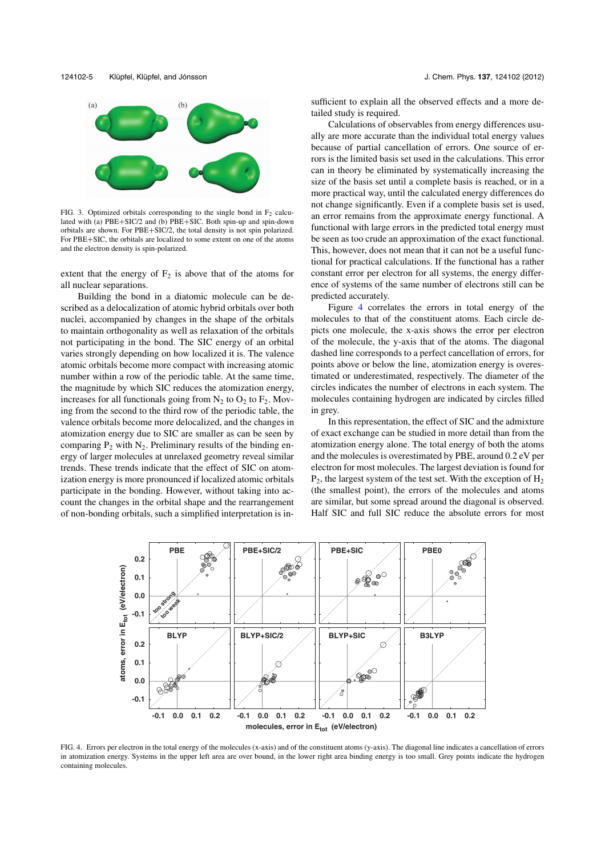

FIG. 3. Optimized orbitals corresponding to the single bond in  $F_2$  calculated with (a) PBE+SIC/2 and (b) PBE+SIC. Both spin-up and spin-down orbitals are shown. For PBE+SIC/2, the total density is not spin polarized. For PBE+SIC, the orbitals are localized to some extent on one of the atoms and the electron density is spin-polarized.

extent that the energy of  $F_2$  is above that of the atoms for all nuclear separations.

Building the bond in a diatomic molecule can be described as a delocalization of atomic hybrid orbitals over both nuclei, accompanied by changes in the shape of the orbitals to maintain orthogonality as well as relaxation of the orbitals not participating in the bond. The SIC energy of an orbital varies strongly depending on how localized it is. The valence atomic orbitals become more compact with increasing atomic number within a row of the periodic table. At the same time, the magnitude by which SIC reduces the atomization energy, increases for all functionals going from  $N_2$  to  $O_2$  to  $F_2$ . Moving from the second to the third row of the periodic table, the valence orbitals become more delocalized, and the changes in atomization energy due to SIC are smaller as can be seen by comparing  $P_2$  with  $N_2$ . Preliminary results of the binding energy of larger molecules at unrelaxed geometry reveal similar trends. These trends indicate that the effect of SIC on atomization energy is more pronounced if localized atomic orbitals participate in the bonding. However, without taking into account the changes in the orbital shape and the rearrangement of non-bonding orbitals, such a simplified interpretation is insufficient to explain all the observed effects and a more detailed study is required.

Calculations of observables from energy differences usually are more accurate than the individual total energy values because of partial cancellation of errors. One source of errors is the limited basis set used in the calculations. This error can in theory be eliminated by systematically increasing the size of the basis set until a complete basis is reached, or in a more practical way, until the calculated energy differences do not change significantly. Even if a complete basis set is used, an error remains from the approximate energy functional. A functional with large errors in the predicted total energy must be seen as too crude an approximation of the exact functional. This, however, does not mean that it can not be a useful functional for practical calculations. If the functional has a rather constant error per electron for all systems, the energy difference of systems of the same number of electrons still can be predicted accurately.

Figure 4 correlates the errors in total energy of the molecules to that of the constituent atoms. Each circle depicts one molecule, the x-axis shows the error per electron of the molecule, the y-axis that of the atoms. The diagonal dashed line corresponds to a perfect cancellation of errors, for points above or below the line, atomization energy is overestimated or underestimated, respectively. The diameter of the circles indicates the number of electrons in each system. The molecules containing hydrogen are indicated by circles filled in grey.

In this representation, the effect of SIC and the admixture of exact exchange can be studied in more detail than from the atomization energy alone. The total energy of both the atoms and the molecules is overestimated by PBE, around 0.2 eV per electron for most molecules. The largest deviation is found for  $P_2$ , the largest system of the test set. With the exception of  $H_2$ (the smallest point), the errors of the molecules and atoms are similar, but some spread around the diagonal is observed. Half SIC and full SIC reduce the absolute errors for most



FIG. 4. Errors per electron in the total energy of the molecules (x-axis) and of the constituent atoms (y-axis). The diagonal line indicates a cancellation of errors in atomization energy. Systems in the upper left area are over bound, in the lower right area binding energy is too small. Grey points indicate the hydrogen containing molecules.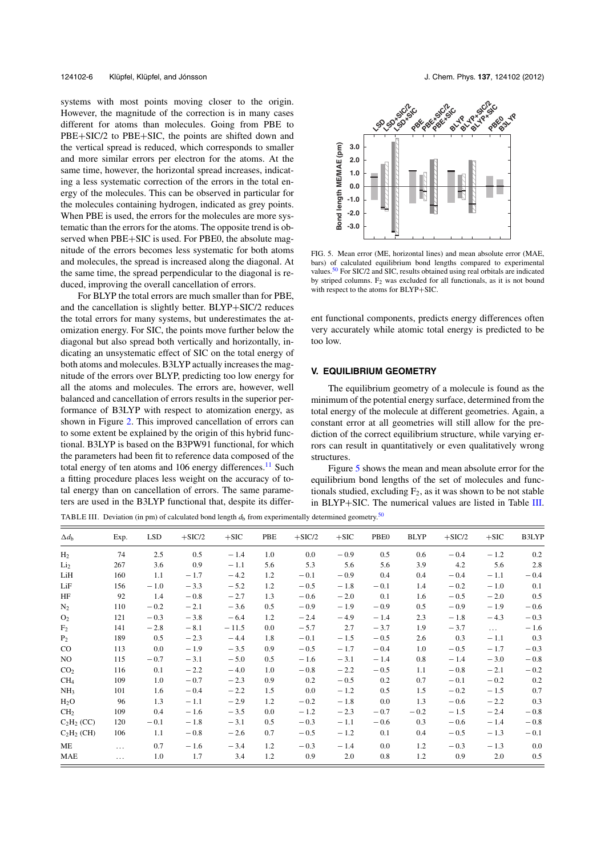#### 124102-6 Klüpfel, Klüpfel, and Jónsson J. Chem. Phys. **137**, 124102 (2012)

systems with most points moving closer to the origin. However, the magnitude of the correction is in many cases different for atoms than molecules. Going from PBE to PBE+SIC/2 to PBE+SIC, the points are shifted down and the vertical spread is reduced, which corresponds to smaller and more similar errors per electron for the atoms. At the same time, however, the horizontal spread increases, indicating a less systematic correction of the errors in the total energy of the molecules. This can be observed in particular for the molecules containing hydrogen, indicated as grey points. When PBE is used, the errors for the molecules are more systematic than the errors for the atoms. The opposite trend is observed when PBE+SIC is used. For PBE0, the absolute magnitude of the errors becomes less systematic for both atoms and molecules, the spread is increased along the diagonal. At the same time, the spread perpendicular to the diagonal is reduced, improving the overall cancellation of errors.

For BLYP the total errors are much smaller than for PBE, and the cancellation is slightly better. BLYP+SIC/2 reduces the total errors for many systems, but underestimates the atomization energy. For SIC, the points move further below the diagonal but also spread both vertically and horizontally, indicating an unsystematic effect of SIC on the total energy of both atoms and molecules. B3LYP actually increases the magnitude of the errors over BLYP, predicting too low energy for all the atoms and molecules. The errors are, however, well balanced and cancellation of errors results in the superior performance of B3LYP with respect to atomization energy, as shown in Figure 2. This improved cancellation of errors can to some extent be explained by the origin of this hybrid functional. B3LYP is based on the B3PW91 functional, for which the parameters had been fit to reference data composed of the total energy of ten atoms and 106 energy differences.<sup>11</sup> Such a fitting procedure places less weight on the accuracy of total energy than on cancellation of errors. The same parameters are used in the B3LYP functional that, despite its differ-





FIG. 5. Mean error (ME, horizontal lines) and mean absolute error (MAE, bars) of calculated equilibrium bond lengths compared to experimental values.<sup>50</sup> For SIC/2 and SIC, results obtained using real orbitals are indicated by striped columns.  $F_2$  was excluded for all functionals, as it is not bound with respect to the atoms for BLYP+SIC.

ent functional components, predicts energy differences often very accurately while atomic total energy is predicted to be too low.

## **V. EQUILIBRIUM GEOMETRY**

The equilibrium geometry of a molecule is found as the minimum of the potential energy surface, determined from the total energy of the molecule at different geometries. Again, a constant error at all geometries will still allow for the prediction of the correct equilibrium structure, while varying errors can result in quantitatively or even qualitatively wrong structures.

Figure 5 shows the mean and mean absolute error for the equilibrium bond lengths of the set of molecules and functionals studied, excluding  $F_2$ , as it was shown to be not stable in BLYP+SIC. The numerical values are listed in Table III.

TABLE III. Deviation (in pm) of calculated bond length  $d_b$  from experimentally determined geometry.<sup>50</sup>

| $\Delta d_{\rm b}$ | Exp.     | <b>LSD</b> | $+SIC/2$ | $+SIC$  | PBE     | $+SIC/2$ | $+SIC$ | PBE <sub>0</sub> | <b>BLYP</b> | $+$ SIC/2 | $+SIC$   | B3LYP  |
|--------------------|----------|------------|----------|---------|---------|----------|--------|------------------|-------------|-----------|----------|--------|
| H <sub>2</sub>     | 74       | 2.5        | 0.5      | $-1.4$  | 1.0     | $0.0\,$  | $-0.9$ | 0.5              | 0.6         | $-0.4$    | $-1.2$   | 0.2    |
| Li <sub>2</sub>    | 267      | 3.6        | 0.9      | $-1.1$  | 5.6     | 5.3      | 5.6    | 5.6              | 3.9         | 4.2       | 5.6      | 2.8    |
| LiH                | 160      | 1.1        | $-1.7$   | $-4.2$  | 1.2     | $-0.1$   | $-0.9$ | 0.4              | 0.4         | $-0.4$    | $-1.1$   | $-0.4$ |
| LiF                | 156      | $-1.0$     | $-3.3$   | $-5.2$  | 1.2     | $-0.5$   | $-1.8$ | $-0.1$           | 1.4         | $-0.2$    | $-1.0$   | 0.1    |
| HF                 | 92       | 1.4        | $-0.8$   | $-2.7$  | 1.3     | $-0.6$   | $-2.0$ | 0.1              | 1.6         | $-0.5$    | $-2.0$   | 0.5    |
| $N_2$              | 110      | $-0.2$     | $-2.1$   | $-3.6$  | 0.5     | $-0.9$   | $-1.9$ | $-0.9$           | 0.5         | $-0.9$    | $-1.9$   | $-0.6$ |
| O <sub>2</sub>     | 121      | $-0.3$     | $-3.8$   | $-6.4$  | 1.2     | $-2.4$   | $-4.9$ | $-1.4$           | 2.3         | $-1.8$    | $-4.3$   | $-0.3$ |
| F <sub>2</sub>     | 141      | $-2.8$     | $-8.1$   | $-11.5$ | $0.0\,$ | $-5.7$   | 2.7    | $-3.7$           | 1.9         | $-3.7$    | $\cdots$ | $-1.6$ |
| P <sub>2</sub>     | 189      | 0.5        | $-2.3$   | $-4.4$  | 1.8     | $-0.1$   | $-1.5$ | $-0.5$           | 2.6         | 0.3       | $-1.1$   | 0.3    |
| $_{\rm CO}$        | 113      | 0.0        | $-1.9$   | $-3.5$  | 0.9     | $-0.5$   | $-1.7$ | $-0.4$           | 1.0         | $-0.5$    | $-1.7$   | $-0.3$ |
| NO.                | 115      | $-0.7$     | $-3.1$   | $-5.0$  | 0.5     | $-1.6$   | $-3.1$ | $-1.4$           | 0.8         | $-1.4$    | $-3.0$   | $-0.8$ |
| CO <sub>2</sub>    | 116      | 0.1        | $-2.2$   | $-4.0$  | 1.0     | $-0.8$   | $-2.2$ | $-0.5$           | 1.1         | $-0.8$    | $-2.1$   | $-0.2$ |
| CH <sub>4</sub>    | 109      | 1.0        | $-0.7$   | $-2.3$  | 0.9     | 0.2      | $-0.5$ | 0.2              | 0.7         | $-0.1$    | $-0.2$   | 0.2    |
| NH <sub>3</sub>    | 101      | 1.6        | $-0.4$   | $-2.2$  | 1.5     | $0.0\,$  | $-1.2$ | 0.5              | 1.5         | $-0.2$    | $-1.5$   | 0.7    |
| $H_2O$             | 96       | 1.3        | $-1.1$   | $-2.9$  | 1.2     | $-0.2$   | $-1.8$ | 0.0              | 1.3         | $-0.6$    | $-2.2$   | 0.3    |
| CH <sub>2</sub>    | 109      | 0.4        | $-1.6$   | $-3.5$  | 0.0     | $-1.2$   | $-2.3$ | $-0.7$           | $-0.2$      | $-1.5$    | $-2.4$   | $-0.8$ |
| $C_2H_2(CC)$       | 120      | $-0.1$     | $-1.8$   | $-3.1$  | 0.5     | $-0.3$   | $-1.1$ | $-0.6$           | 0.3         | $-0.6$    | $-1.4$   | $-0.8$ |
| $C_2H_2$ (CH)      | 106      | 1.1        | $-0.8$   | $-2.6$  | 0.7     | $-0.5$   | $-1.2$ | 0.1              | 0.4         | $-0.5$    | $-1.3$   | $-0.1$ |
| ME                 | $\cdots$ | 0.7        | $-1.6$   | $-3.4$  | 1.2     | $-0.3$   | $-1.4$ | 0.0              | 1.2         | $-0.3$    | $-1.3$   | 0.0    |
| <b>MAE</b>         | $\cdots$ | 1.0        | 1.7      | 3.4     | 1.2     | 0.9      | 2.0    | 0.8              | 1.2         | 0.9       | 2.0      | 0.5    |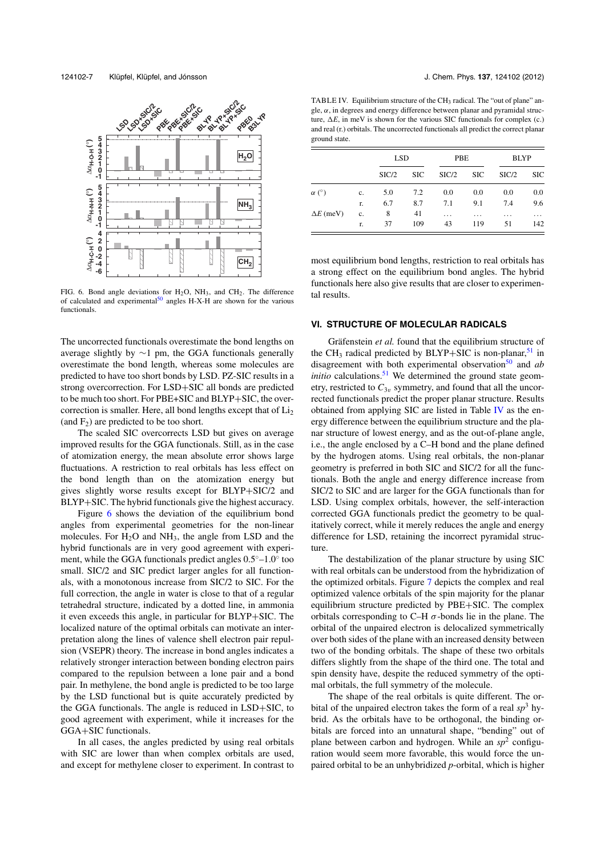

FIG. 6. Bond angle deviations for  $H_2O$ ,  $NH_3$ , and  $CH_2$ . The difference of calculated and experimental<sup>50</sup> angles H-X-H are shown for the various functionals.

The uncorrected functionals overestimate the bond lengths on average slightly by ∼1 pm, the GGA functionals generally overestimate the bond length, whereas some molecules are predicted to have too short bonds by LSD. PZ-SIC results in a strong overcorrection. For LSD+SIC all bonds are predicted to be much too short. For PBE+SIC and BLYP+SIC, the overcorrection is smaller. Here, all bond lengths except that of  $Li<sub>2</sub>$ (and  $F_2$ ) are predicted to be too short.

The scaled SIC overcorrects LSD but gives on average improved results for the GGA functionals. Still, as in the case of atomization energy, the mean absolute error shows large fluctuations. A restriction to real orbitals has less effect on the bond length than on the atomization energy but gives slightly worse results except for BLYP+SIC/2 and BLYP+SIC. The hybrid functionals give the highest accuracy.

Figure 6 shows the deviation of the equilibrium bond angles from experimental geometries for the non-linear molecules. For  $H_2O$  and  $NH_3$ , the angle from LSD and the hybrid functionals are in very good agreement with experiment, while the GGA functionals predict angles 0.5◦–1.0◦ too small. SIC/2 and SIC predict larger angles for all functionals, with a monotonous increase from SIC/2 to SIC. For the full correction, the angle in water is close to that of a regular tetrahedral structure, indicated by a dotted line, in ammonia it even exceeds this angle, in particular for BLYP+SIC. The localized nature of the optimal orbitals can motivate an interpretation along the lines of valence shell electron pair repulsion (VSEPR) theory. The increase in bond angles indicates a relatively stronger interaction between bonding electron pairs compared to the repulsion between a lone pair and a bond pair. In methylene, the bond angle is predicted to be too large by the LSD functional but is quite accurately predicted by the GGA functionals. The angle is reduced in LSD+SIC, to good agreement with experiment, while it increases for the GGA+SIC functionals.

In all cases, the angles predicted by using real orbitals with SIC are lower than when complex orbitals are used, and except for methylene closer to experiment. In contrast to

TABLE IV. Equilibrium structure of the  $CH<sub>3</sub>$  radical. The "out of plane" angle,  $\alpha$ , in degrees and energy difference between planar and pyramidal structure,  $\Delta E$ , in meV is shown for the various SIC functionals for complex (c.) and real (r.) orbitals. The uncorrected functionals all predict the correct planar ground state.

|                  |          | <b>LSD</b> |            | PBE     |            | <b>BLYP</b>    |            |  |
|------------------|----------|------------|------------|---------|------------|----------------|------------|--|
|                  |          | SIC/2      | <b>SIC</b> | SIC/2   | <b>SIC</b> | SIC/2          | <b>SIC</b> |  |
| $\alpha$ (°)     | c.       | 5.0        | 7.2        | 0.0     | 0.0        | 0.0            | 0.0        |  |
|                  | r.       | 6.7        | 8.7        | 7.1     | 9.1        | 7.4            | 9.6        |  |
| $\Delta E$ (meV) | c.<br>r. | 8<br>37    | 41<br>109  | .<br>43 | .<br>119   | $\cdots$<br>51 | .<br>142   |  |

most equilibrium bond lengths, restriction to real orbitals has a strong effect on the equilibrium bond angles. The hybrid functionals here also give results that are closer to experimental results.

# **VI. STRUCTURE OF MOLECULAR RADICALS**

Gräfenstein *et al.* found that the equilibrium structure of the CH<sub>3</sub> radical predicted by BLYP+SIC is non-planar,<sup>51</sup> in disagreement with both experimental observation<sup>50</sup> and *ab initio* calculations.<sup>51</sup> We determined the ground state geometry, restricted to  $C_{3v}$  symmetry, and found that all the uncorrected functionals predict the proper planar structure. Results obtained from applying SIC are listed in Table IV as the energy difference between the equilibrium structure and the planar structure of lowest energy, and as the out-of-plane angle, i.e., the angle enclosed by a C–H bond and the plane defined by the hydrogen atoms. Using real orbitals, the non-planar geometry is preferred in both SIC and SIC/2 for all the functionals. Both the angle and energy difference increase from SIC/2 to SIC and are larger for the GGA functionals than for LSD. Using complex orbitals, however, the self-interaction corrected GGA functionals predict the geometry to be qualitatively correct, while it merely reduces the angle and energy difference for LSD, retaining the incorrect pyramidal structure

The destabilization of the planar structure by using SIC with real orbitals can be understood from the hybridization of the optimized orbitals. Figure 7 depicts the complex and real optimized valence orbitals of the spin majority for the planar equilibrium structure predicted by PBE+SIC. The complex orbitals corresponding to C–H  $\sigma$ -bonds lie in the plane. The orbital of the unpaired electron is delocalized symmetrically over both sides of the plane with an increased density between two of the bonding orbitals. The shape of these two orbitals differs slightly from the shape of the third one. The total and spin density have, despite the reduced symmetry of the optimal orbitals, the full symmetry of the molecule.

The shape of the real orbitals is quite different. The orbital of the unpaired electron takes the form of a real  $sp<sup>3</sup>$  hybrid. As the orbitals have to be orthogonal, the binding orbitals are forced into an unnatural shape, "bending" out of plane between carbon and hydrogen. While an  $sp^2$  configuration would seem more favorable, this would force the unpaired orbital to be an unhybridized *p*-orbital, which is higher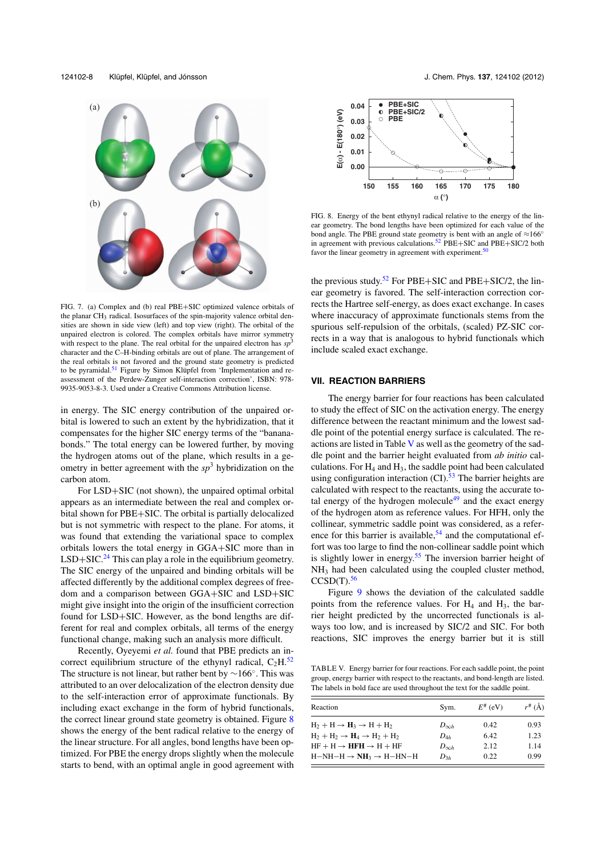

FIG. 7. (a) Complex and (b) real PBE+SIC optimized valence orbitals of the planar CH<sub>3</sub> radical. Isosurfaces of the spin-majority valence orbital densities are shown in side view (left) and top view (right). The orbital of the unpaired electron is colored. The complex orbitals have mirror symmetry with respect to the plane. The real orbital for the unpaired electron has  $s\vec{p}$ <sup>3</sup> character and the C–H-binding orbitals are out of plane. The arrangement of the real orbitals is not favored and the ground state geometry is predicted<br>to be pyramidal.<sup>51</sup> Figure by Simon Klüpfel from 'Implementation and reassessment of the Perdew-Zunger self-interaction correction', ISBN: 978- 9935-9053-8-3. Used under a Creative Commons Attribution license.

in energy. The SIC energy contribution of the unpaired orbital is lowered to such an extent by the hybridization, that it compensates for the higher SIC energy terms of the "bananabonds." The total energy can be lowered further, by moving the hydrogen atoms out of the plane, which results in a geometry in better agreement with the *sp*<sup>3</sup> hybridization on the carbon atom.

For LSD+SIC (not shown), the unpaired optimal orbital appears as an intermediate between the real and complex orbital shown for PBE+SIC. The orbital is partially delocalized but is not symmetric with respect to the plane. For atoms, it was found that extending the variational space to complex orbitals lowers the total energy in GGA+SIC more than in  $LSD+SIC.<sup>24</sup>$  This can play a role in the equilibrium geometry. The SIC energy of the unpaired and binding orbitals will be affected differently by the additional complex degrees of freedom and a comparison between GGA+SIC and LSD+SIC might give insight into the origin of the insufficient correction found for LSD+SIC. However, as the bond lengths are different for real and complex orbitals, all terms of the energy functional change, making such an analysis more difficult.

Recently, Oyeyemi *et al.* found that PBE predicts an incorrect equilibrium structure of the ethynyl radical,  $C_2H^{52}$ . The structure is not linear, but rather bent by ∼166◦. This was attributed to an over delocalization of the electron density due to the self-interaction error of approximate functionals. By including exact exchange in the form of hybrid functionals, the correct linear ground state geometry is obtained. Figure 8 shows the energy of the bent radical relative to the energy of the linear structure. For all angles, bond lengths have been optimized. For PBE the energy drops slightly when the molecule starts to bend, with an optimal angle in good agreement with



FIG. 8. Energy of the bent ethynyl radical relative to the energy of the linear geometry. The bond lengths have been optimized for each value of the bond angle. The PBE ground state geometry is bent with an angle of  $\approx$ 166<sup>°</sup> in agreement with previous calculations.<sup>52</sup> PBE+SIC and PBE+SIC/2 both favor the linear geometry in agreement with experiment.<sup>50</sup>

the previous study.<sup>52</sup> For PBE+SIC and PBE+SIC/2, the linear geometry is favored. The self-interaction correction corrects the Hartree self-energy, as does exact exchange. In cases where inaccuracy of approximate functionals stems from the spurious self-repulsion of the orbitals, (scaled) PZ-SIC corrects in a way that is analogous to hybrid functionals which include scaled exact exchange.

# **VII. REACTION BARRIERS**

The energy barrier for four reactions has been calculated to study the effect of SIC on the activation energy. The energy difference between the reactant minimum and the lowest saddle point of the potential energy surface is calculated. The reactions are listed in Table V as well as the geometry of the saddle point and the barrier height evaluated from *ab initio* calculations. For  $H_4$  and  $H_3$ , the saddle point had been calculated using configuration interaction  $(CI)$ .<sup>53</sup> The barrier heights are calculated with respect to the reactants, using the accurate total energy of the hydrogen molecule $49$  and the exact energy of the hydrogen atom as reference values. For HFH, only the collinear, symmetric saddle point was considered, as a reference for this barrier is available,  $54$  and the computational effort was too large to find the non-collinear saddle point which is slightly lower in energy.<sup>55</sup> The inversion barrier height of NH3 had been calculated using the coupled cluster method,  $CCSD(T)$ .<sup>56</sup>

Figure 9 shows the deviation of the calculated saddle points from the reference values. For  $H_4$  and  $H_3$ , the barrier height predicted by the uncorrected functionals is always too low, and is increased by SIC/2 and SIC. For both reactions, SIC improves the energy barrier but it is still

TABLE V. Energy barrier for four reactions. For each saddle point, the point group, energy barrier with respect to the reactants, and bond-length are listed. The labels in bold face are used throughout the text for the saddle point.

| Reaction                                          | Sym.           | $E^{\#}$ (eV) | $r^{\#}$ (Å) |
|---------------------------------------------------|----------------|---------------|--------------|
| $H_2 + H \rightarrow H_3 \rightarrow H + H_2$     | $D_{\infty h}$ | 0.42          | 0.93         |
| $H_2 + H_2 \rightarrow H_4 \rightarrow H_2 + H_2$ | $D_{4h}$       | 6.42          | 1.23         |
| $HF + H \rightarrow HFH \rightarrow H + HF$       | $D_{\infty h}$ | 2.12          | 1.14         |
| $H-NH-H \rightarrow NH_3 \rightarrow H-HN-H$      | $D_{3h}$       | 0.22          | 0.99         |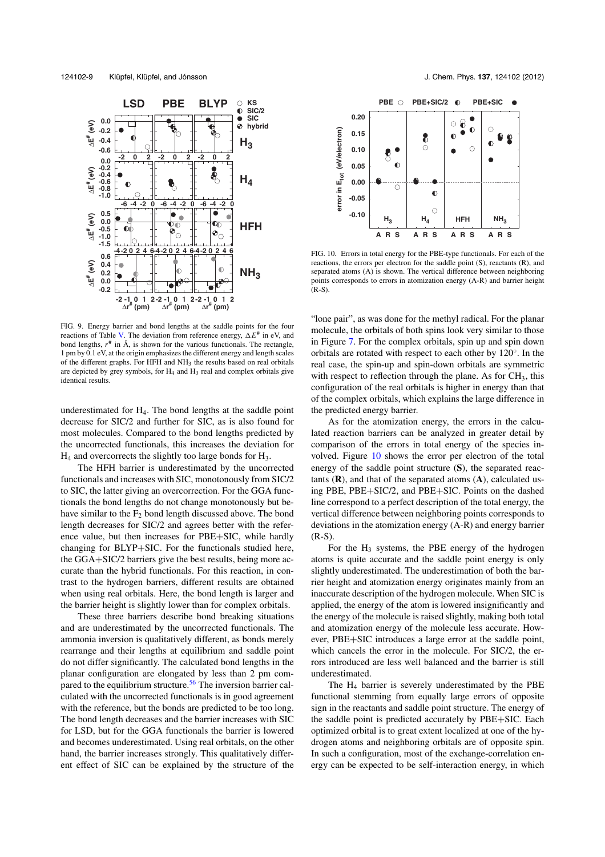

FIG. 9. Energy barrier and bond lengths at the saddle points for the four reactions of Table V. The deviation from reference energy,  $\Delta E^{\#}$  in eV, and bond lengths,  $r^{\#}$  in Å, is shown for the various functionals. The rectangle, 1 pm by 0.1 eV, at the origin emphasizes the different energy and length scales of the different graphs. For HFH and NH3 the results based on real orbitals are depicted by grey symbols, for  $H_4$  and  $H_3$  real and complex orbitals give identical results.

underestimated for H4. The bond lengths at the saddle point decrease for SIC/2 and further for SIC, as is also found for most molecules. Compared to the bond lengths predicted by the uncorrected functionals, this increases the deviation for  $H_4$  and overcorrects the slightly too large bonds for  $H_3$ .

The HFH barrier is underestimated by the uncorrected functionals and increases with SIC, monotonously from SIC/2 to SIC, the latter giving an overcorrection. For the GGA functionals the bond lengths do not change monotonously but behave similar to the  $F_2$  bond length discussed above. The bond length decreases for SIC/2 and agrees better with the reference value, but then increases for PBE+SIC, while hardly changing for BLYP+SIC. For the functionals studied here, the GGA+SIC/2 barriers give the best results, being more accurate than the hybrid functionals. For this reaction, in contrast to the hydrogen barriers, different results are obtained when using real orbitals. Here, the bond length is larger and the barrier height is slightly lower than for complex orbitals.

These three barriers describe bond breaking situations and are underestimated by the uncorrected functionals. The ammonia inversion is qualitatively different, as bonds merely rearrange and their lengths at equilibrium and saddle point do not differ significantly. The calculated bond lengths in the planar configuration are elongated by less than 2 pm compared to the equilibrium structure.<sup>56</sup> The inversion barrier calculated with the uncorrected functionals is in good agreement with the reference, but the bonds are predicted to be too long. The bond length decreases and the barrier increases with SIC for LSD, but for the GGA functionals the barrier is lowered and becomes underestimated. Using real orbitals, on the other hand, the barrier increases strongly. This qualitatively different effect of SIC can be explained by the structure of the



FIG. 10. Errors in total energy for the PBE-type functionals. For each of the reactions, the errors per electron for the saddle point (S), reactants (R), and separated atoms (A) is shown. The vertical difference between neighboring points corresponds to errors in atomization energy (A-R) and barrier height  $(R-S)$ .

"lone pair", as was done for the methyl radical. For the planar molecule, the orbitals of both spins look very similar to those in Figure 7. For the complex orbitals, spin up and spin down orbitals are rotated with respect to each other by 120◦. In the real case, the spin-up and spin-down orbitals are symmetric with respect to reflection through the plane. As for  $CH<sub>3</sub>$ , this configuration of the real orbitals is higher in energy than that of the complex orbitals, which explains the large difference in the predicted energy barrier.

As for the atomization energy, the errors in the calculated reaction barriers can be analyzed in greater detail by comparison of the errors in total energy of the species involved. Figure 10 shows the error per electron of the total energy of the saddle point structure (**S**), the separated reactants (**R**), and that of the separated atoms (**A**), calculated using PBE, PBE+SIC/2, and PBE+SIC. Points on the dashed line correspond to a perfect description of the total energy, the vertical difference between neighboring points corresponds to deviations in the atomization energy (A-R) and energy barrier (R-S).

For the  $H_3$  systems, the PBE energy of the hydrogen atoms is quite accurate and the saddle point energy is only slightly underestimated. The underestimation of both the barrier height and atomization energy originates mainly from an inaccurate description of the hydrogen molecule. When SIC is applied, the energy of the atom is lowered insignificantly and the energy of the molecule is raised slightly, making both total and atomization energy of the molecule less accurate. However, PBE+SIC introduces a large error at the saddle point, which cancels the error in the molecule. For SIC/2, the errors introduced are less well balanced and the barrier is still underestimated.

The H4 barrier is severely underestimated by the PBE functional stemming from equally large errors of opposite sign in the reactants and saddle point structure. The energy of the saddle point is predicted accurately by PBE+SIC. Each optimized orbital is to great extent localized at one of the hydrogen atoms and neighboring orbitals are of opposite spin. In such a configuration, most of the exchange-correlation energy can be expected to be self-interaction energy, in which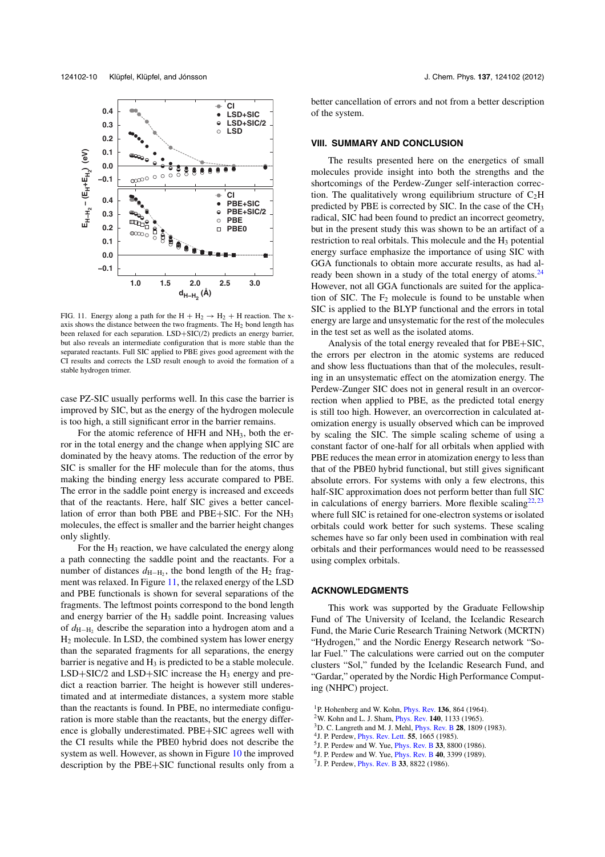

FIG. 11. Energy along a path for the  $H + H_2 \rightarrow H_2 + H$  reaction. The xaxis shows the distance between the two fragments. The  $H_2$  bond length has been relaxed for each separation. LSD+SIC(/2) predicts an energy barrier, but also reveals an intermediate configuration that is more stable than the separated reactants. Full SIC applied to PBE gives good agreement with the CI results and corrects the LSD result enough to avoid the formation of a stable hydrogen trimer.

case PZ-SIC usually performs well. In this case the barrier is improved by SIC, but as the energy of the hydrogen molecule is too high, a still significant error in the barrier remains.

For the atomic reference of HFH and  $NH<sub>3</sub>$ , both the error in the total energy and the change when applying SIC are dominated by the heavy atoms. The reduction of the error by SIC is smaller for the HF molecule than for the atoms, thus making the binding energy less accurate compared to PBE. The error in the saddle point energy is increased and exceeds that of the reactants. Here, half SIC gives a better cancellation of error than both PBE and PBE+SIC. For the NH3 molecules, the effect is smaller and the barrier height changes only slightly.

For the H3 reaction, we have calculated the energy along a path connecting the saddle point and the reactants. For a number of distances  $d_{H-H_2}$ , the bond length of the H<sub>2</sub> fragment was relaxed. In Figure 11, the relaxed energy of the LSD and PBE functionals is shown for several separations of the fragments. The leftmost points correspond to the bond length and energy barrier of the  $H_3$  saddle point. Increasing values of  $d_{\text{H–H}_2}$  describe the separation into a hydrogen atom and a H2 molecule. In LSD, the combined system has lower energy than the separated fragments for all separations, the energy barrier is negative and  $H_3$  is predicted to be a stable molecule.  $LSD+SIC/2$  and  $LSD+SIC$  increase the  $H<sub>3</sub>$  energy and predict a reaction barrier. The height is however still underestimated and at intermediate distances, a system more stable than the reactants is found. In PBE, no intermediate configuration is more stable than the reactants, but the energy difference is globally underestimated. PBE+SIC agrees well with the CI results while the PBE0 hybrid does not describe the system as well. However, as shown in Figure 10 the improved description by the PBE+SIC functional results only from a

better cancellation of errors and not from a better description of the system.

## **VIII. SUMMARY AND CONCLUSION**

The results presented here on the energetics of small molecules provide insight into both the strengths and the shortcomings of the Perdew-Zunger self-interaction correction. The qualitatively wrong equilibrium structure of  $C_2H$ predicted by PBE is corrected by SIC. In the case of the CH3 radical, SIC had been found to predict an incorrect geometry, but in the present study this was shown to be an artifact of a restriction to real orbitals. This molecule and the  $H_3$  potential energy surface emphasize the importance of using SIC with GGA functionals to obtain more accurate results, as had already been shown in a study of the total energy of atoms. $24$ However, not all GGA functionals are suited for the application of SIC. The  $F_2$  molecule is found to be unstable when SIC is applied to the BLYP functional and the errors in total energy are large and unsystematic for the rest of the molecules in the test set as well as the isolated atoms.

Analysis of the total energy revealed that for PBE+SIC, the errors per electron in the atomic systems are reduced and show less fluctuations than that of the molecules, resulting in an unsystematic effect on the atomization energy. The Perdew-Zunger SIC does not in general result in an overcorrection when applied to PBE, as the predicted total energy is still too high. However, an overcorrection in calculated atomization energy is usually observed which can be improved by scaling the SIC. The simple scaling scheme of using a constant factor of one-half for all orbitals when applied with PBE reduces the mean error in atomization energy to less than that of the PBE0 hybrid functional, but still gives significant absolute errors. For systems with only a few electrons, this half-SIC approximation does not perform better than full SIC in calculations of energy barriers. More flexible scaling<sup>22,23</sup> where full SIC is retained for one-electron systems or isolated orbitals could work better for such systems. These scaling schemes have so far only been used in combination with real orbitals and their performances would need to be reassessed using complex orbitals.

#### **ACKNOWLEDGMENTS**

This work was supported by the Graduate Fellowship Fund of The University of Iceland, the Icelandic Research Fund, the Marie Curie Research Training Network (MCRTN) "Hydrogen," and the Nordic Energy Research network "Solar Fuel." The calculations were carried out on the computer clusters "Sol," funded by the Icelandic Research Fund, and "Gardar," operated by the Nordic High Performance Computing (NHPC) project.

- 2W. Kohn and L. J. Sham, Phys. Rev. **140**, 1133 (1965).
- 3D. C. Langreth and M. J. Mehl, Phys. Rev. B **28**, 1809 (1983).
- 4J. P. Perdew, Phys. Rev. Lett. **55**, 1665 (1985).
- 5J. P. Perdew and W. Yue, Phys. Rev. B **33**, 8800 (1986).
- 6J. P. Perdew and W. Yue, Phys. Rev. B **40**, 3399 (1989).
- 7J. P. Perdew, Phys. Rev. B **33**, 8822 (1986).

<sup>1</sup>P. Hohenberg and W. Kohn, Phys. Rev. **136**, 864 (1964).